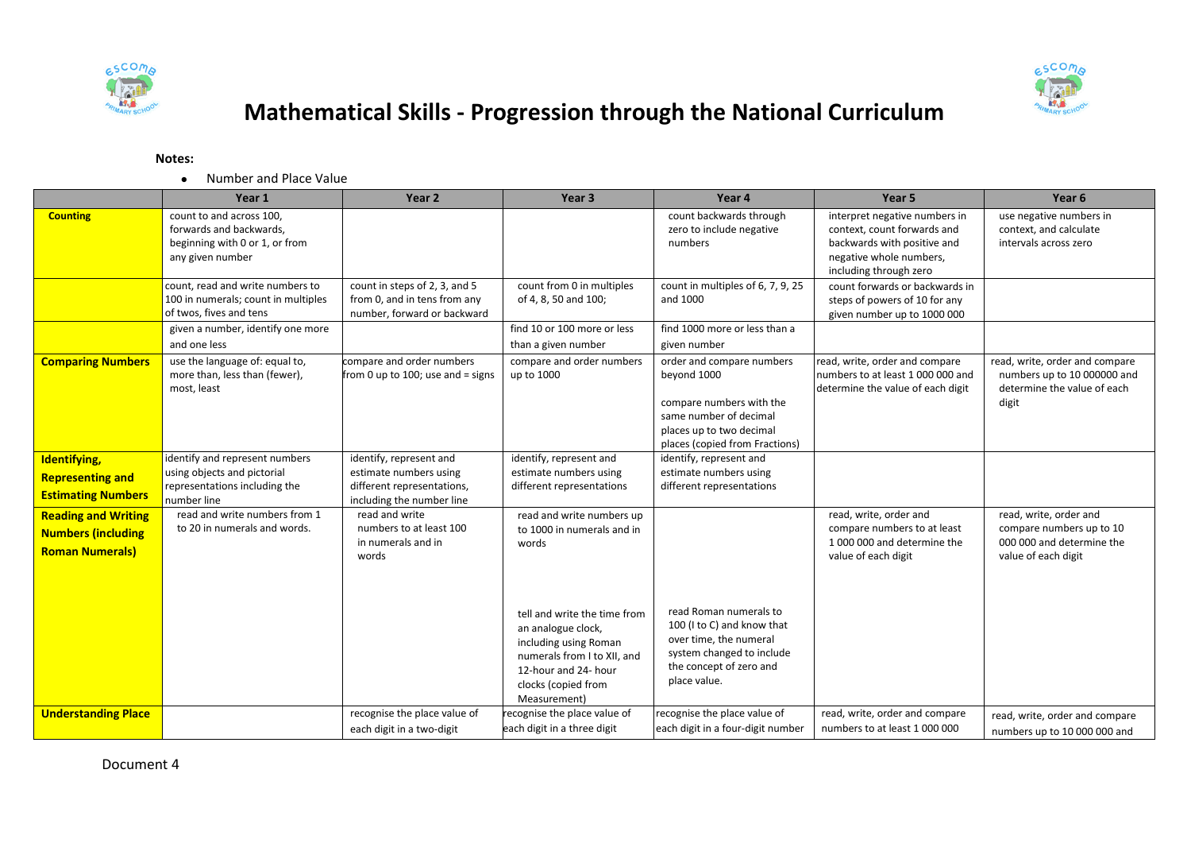



## **Mathematical Skills - Progression through the National Curriculum**

## **Notes:**

Number and Place Value

|                                                                                   | Year 1                                                                                                        | Year <sub>2</sub>                                                                                            | Year <sub>3</sub>                                                                                                                                                              | Year 4                                                                                                                                                       | Year 5                                                                                                                                           | Year <sub>6</sub>                                                                                      |
|-----------------------------------------------------------------------------------|---------------------------------------------------------------------------------------------------------------|--------------------------------------------------------------------------------------------------------------|--------------------------------------------------------------------------------------------------------------------------------------------------------------------------------|--------------------------------------------------------------------------------------------------------------------------------------------------------------|--------------------------------------------------------------------------------------------------------------------------------------------------|--------------------------------------------------------------------------------------------------------|
| <b>Counting</b>                                                                   | count to and across 100,<br>forwards and backwards,<br>beginning with 0 or 1, or from<br>any given number     |                                                                                                              |                                                                                                                                                                                | count backwards through<br>zero to include negative<br>numbers                                                                                               | interpret negative numbers in<br>context, count forwards and<br>backwards with positive and<br>negative whole numbers,<br>including through zero | use negative numbers in<br>context, and calculate<br>intervals across zero                             |
|                                                                                   | count, read and write numbers to<br>100 in numerals; count in multiples<br>of twos, fives and tens            | count in steps of 2, 3, and 5<br>from 0, and in tens from any<br>number, forward or backward                 | count from 0 in multiples<br>of 4, 8, 50 and 100;                                                                                                                              | count in multiples of 6, 7, 9, 25<br>and 1000                                                                                                                | count forwards or backwards in<br>steps of powers of 10 for any<br>given number up to 1000 000                                                   |                                                                                                        |
|                                                                                   | given a number, identify one more<br>and one less                                                             |                                                                                                              | find 10 or 100 more or less<br>than a given number                                                                                                                             | find 1000 more or less than a<br>given number                                                                                                                |                                                                                                                                                  |                                                                                                        |
| <b>Comparing Numbers</b>                                                          | use the language of: equal to,<br>more than, less than (fewer),<br>most, least                                | compare and order numbers<br>from 0 up to 100; use and = signs                                               | compare and order numbers<br>up to 1000                                                                                                                                        | order and compare numbers<br>beyond 1000<br>compare numbers with the<br>same number of decimal<br>places up to two decimal<br>places (copied from Fractions) | read, write, order and compare<br>numbers to at least 1 000 000 and<br>determine the value of each digit                                         | read, write, order and compare<br>numbers up to 10 000000 and<br>determine the value of each<br>digit  |
| <b>Identifying</b><br><b>Representing and</b><br><b>Estimating Numbers</b>        | identify and represent numbers<br>using objects and pictorial<br>representations including the<br>number line | identify, represent and<br>estimate numbers using<br>different representations,<br>including the number line | identify, represent and<br>estimate numbers using<br>different representations                                                                                                 | identify, represent and<br>estimate numbers using<br>different representations                                                                               |                                                                                                                                                  |                                                                                                        |
| <b>Reading and Writing</b><br><b>Numbers (including</b><br><b>Roman Numerals)</b> | read and write numbers from 1<br>to 20 in numerals and words.                                                 | read and write<br>numbers to at least 100<br>in numerals and in<br>words                                     | read and write numbers up<br>to 1000 in numerals and in<br>words<br>tell and write the time from<br>an analogue clock,<br>including using Roman<br>numerals from I to XII, and | read Roman numerals to<br>100 (I to C) and know that<br>over time, the numeral<br>system changed to include                                                  | read, write, order and<br>compare numbers to at least<br>1 000 000 and determine the<br>value of each digit                                      | read, write, order and<br>compare numbers up to 10<br>000 000 and determine the<br>value of each digit |
|                                                                                   |                                                                                                               |                                                                                                              | 12-hour and 24- hour<br>clocks (copied from<br>Measurement)                                                                                                                    | the concept of zero and<br>place value.                                                                                                                      |                                                                                                                                                  |                                                                                                        |
| <b>Understanding Place</b>                                                        |                                                                                                               | recognise the place value of<br>each digit in a two-digit                                                    | recognise the place value of<br>each digit in a three digit                                                                                                                    | recognise the place value of<br>each digit in a four-digit number                                                                                            | read, write, order and compare<br>numbers to at least 1 000 000                                                                                  | read, write, order and compare<br>numbers up to 10 000 000 and                                         |

Document 4